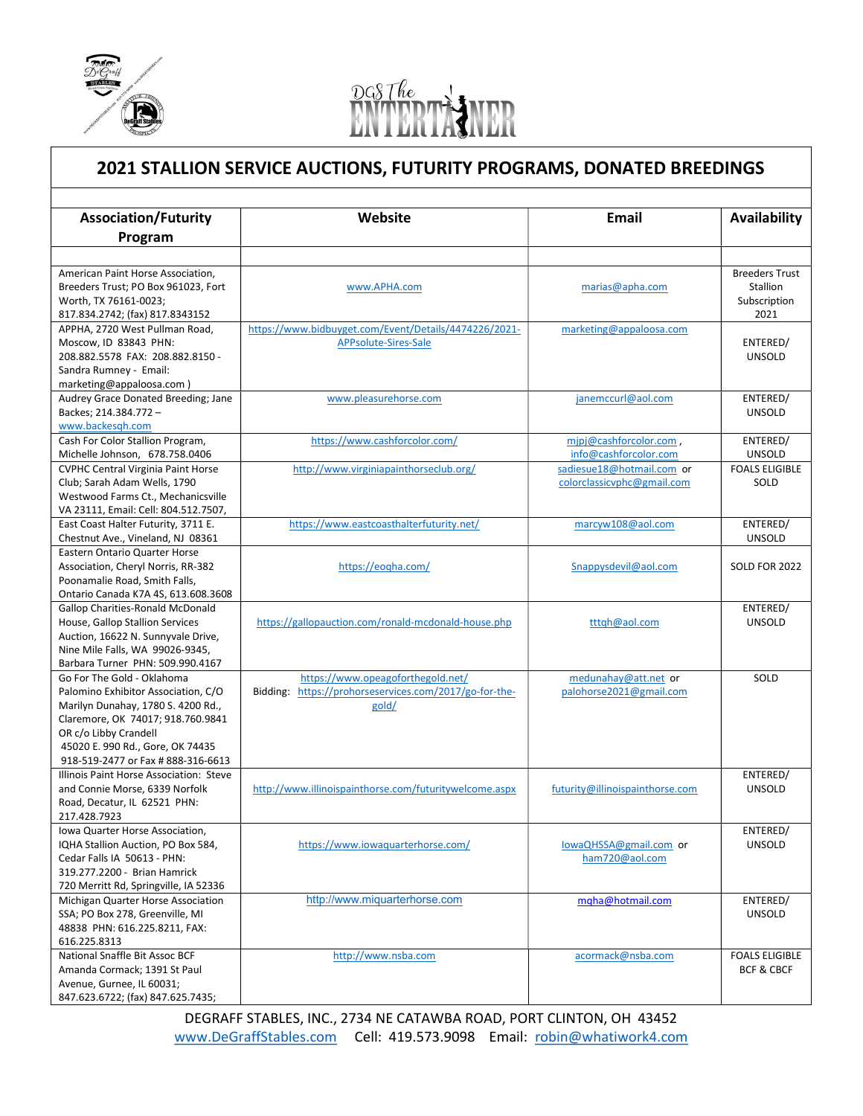

ı



## 2021 STALLION SERVICE AUCTIONS, FUTURITY PROGRAMS, DONATED BREEDINGS

| <b>Association/Futurity</b>               | Website                                                | Email                           | Availability          |
|-------------------------------------------|--------------------------------------------------------|---------------------------------|-----------------------|
|                                           |                                                        |                                 |                       |
| Program                                   |                                                        |                                 |                       |
|                                           |                                                        |                                 |                       |
| American Paint Horse Association,         |                                                        |                                 | <b>Breeders Trust</b> |
| Breeders Trust; PO Box 961023, Fort       | www.APHA.com                                           | marias@apha.com                 | <b>Stallion</b>       |
| Worth, TX 76161-0023;                     |                                                        |                                 | Subscription          |
| 817.834.2742; (fax) 817.8343152           |                                                        |                                 | 2021                  |
| APPHA, 2720 West Pullman Road,            | https://www.bidbuyget.com/Event/Details/4474226/2021-  | marketing@appaloosa.com         |                       |
| Moscow, ID 83843 PHN:                     | APPsolute-Sires-Sale                                   |                                 | ENTERED/              |
| 208.882.5578 FAX: 208.882.8150 -          |                                                        |                                 | <b>UNSOLD</b>         |
| Sandra Rumney - Email:                    |                                                        |                                 |                       |
| marketing@appaloosa.com)                  |                                                        |                                 |                       |
| Audrey Grace Donated Breeding; Jane       | www.pleasurehorse.com                                  | janemccurl@aol.com              | ENTERED/              |
| Backes; 214.384.772 -                     |                                                        |                                 | <b>UNSOLD</b>         |
| www.backesgh.com                          |                                                        |                                 |                       |
| Cash For Color Stallion Program,          | https://www.cashforcolor.com/                          | mipj@cashforcolor.com,          | ENTERED/              |
| Michelle Johnson, 678.758.0406            |                                                        | info@cashforcolor.com           | <b>UNSOLD</b>         |
| <b>CVPHC Central Virginia Paint Horse</b> | http://www.virginiapainthorseclub.org/                 | sadiesue18@hotmail.com or       | <b>FOALS ELIGIBLE</b> |
| Club; Sarah Adam Wells, 1790              |                                                        | colorclassicvphc@gmail.com      | SOLD                  |
| Westwood Farms Ct., Mechanicsville        |                                                        |                                 |                       |
| VA 23111, Email: Cell: 804.512.7507,      |                                                        |                                 |                       |
| East Coast Halter Futurity, 3711 E.       | https://www.eastcoasthalterfuturity.net/               | marcyw108@aol.com               | ENTERED/              |
| Chestnut Ave., Vineland, NJ 08361         |                                                        |                                 | <b>UNSOLD</b>         |
| <b>Eastern Ontario Quarter Horse</b>      |                                                        |                                 |                       |
| Association, Cheryl Norris, RR-382        | https://eogha.com/                                     | Snappysdevil@aol.com            | <b>SOLD FOR 2022</b>  |
| Poonamalie Road, Smith Falls,             |                                                        |                                 |                       |
| Ontario Canada K7A 4S, 613.608.3608       |                                                        |                                 |                       |
| <b>Gallop Charities-Ronald McDonald</b>   |                                                        |                                 | ENTERED/              |
| House, Gallop Stallion Services           | https://gallopauction.com/ronald-mcdonald-house.php    | tttqh@aol.com                   | <b>UNSOLD</b>         |
| Auction, 16622 N. Sunnyvale Drive,        |                                                        |                                 |                       |
| Nine Mile Falls, WA 99026-9345,           |                                                        |                                 |                       |
| Barbara Turner PHN: 509.990.4167          |                                                        |                                 |                       |
| Go For The Gold - Oklahoma                | https://www.opeagoforthegold.net/                      | medunahay@att.net or            | SOLD                  |
| Palomino Exhibitor Association, C/O       | Bidding: https://prohorseservices.com/2017/go-for-the- | palohorse2021@gmail.com         |                       |
| Marilyn Dunahay, 1780 S. 4200 Rd.,        | gold/                                                  |                                 |                       |
| Claremore, OK 74017; 918.760.9841         |                                                        |                                 |                       |
| OR c/o Libby Crandell                     |                                                        |                                 |                       |
| 45020 E. 990 Rd., Gore, OK 74435          |                                                        |                                 |                       |
| 918-519-2477 or Fax # 888-316-6613        |                                                        |                                 |                       |
| Illinois Paint Horse Association: Steve   |                                                        |                                 | ENTERED/              |
| and Connie Morse, 6339 Norfolk            | http://www.illinoispainthorse.com/futuritywelcome.aspx | futurity@illinoispainthorse.com | <b>UNSOLD</b>         |
| Road, Decatur, IL 62521 PHN:              |                                                        |                                 |                       |
| 217.428.7923                              |                                                        |                                 |                       |
| Iowa Quarter Horse Association,           |                                                        |                                 | ENTERED/              |
| IQHA Stallion Auction, PO Box 584,        | https://www.iowaquarterhorse.com/                      | lowaQHSSA@gmail.com or          | <b>UNSOLD</b>         |
| Cedar Falls IA 50613 - PHN:               |                                                        | ham720@aol.com                  |                       |
| 319.277.2200 - Brian Hamrick              |                                                        |                                 |                       |
| 720 Merritt Rd, Springville, IA 52336     |                                                        |                                 |                       |
| Michigan Quarter Horse Association        | http://www.miquarterhorse.com                          | mgha@hotmail.com                | ENTERED/              |
| SSA; PO Box 278, Greenville, MI           |                                                        |                                 | <b>UNSOLD</b>         |
| 48838 PHN: 616.225.8211, FAX:             |                                                        |                                 |                       |
| 616.225.8313                              |                                                        |                                 |                       |
| National Snaffle Bit Assoc BCF            | http://www.nsba.com                                    | acormack@nsba.com               | <b>FOALS ELIGIBLE</b> |
| Amanda Cormack; 1391 St Paul              |                                                        |                                 | <b>BCF &amp; CBCF</b> |
| Avenue, Gurnee, IL 60031;                 |                                                        |                                 |                       |
| 847.623.6722; (fax) 847.625.7435;         |                                                        |                                 |                       |

DEGRAFF STABLES, INC., 2734 NE CATAWBA ROAD, PORT CLINTON, OH 43452 www.DeGraffStables.com Cell: 419.573.9098 Email: robin@whatiwork4.com